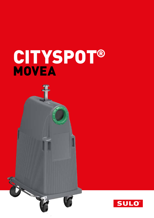# CITYSPOT® MOVEA

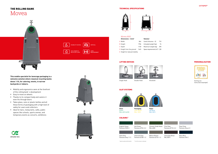



# THE ROLLING BANK Movea

**This mobile specialist for beverage packaging is a welcome solution where classical recycling banks doesn´t fit, for catering, events, in narrow backyards or indoors.** 

- Mobility and ergonomics were at the forefront of this rolling bank´s development
- Easy to move on wheels
- Thanks to its compact body and castors it even fits through doors
- Takes glass, cans or plastic bottles and all these forms of packaging with a high level of safety for users and collectors
- **Indeal for bars, restaurants, cafés, public** spaces like schools, sports arenas, and temporary events as concerts, exhibtions





#### Movea 800l

| Dimensions $\sim$ (mm) <sup>*</sup>  |      | Volumes*                        |     |
|--------------------------------------|------|---------------------------------|-----|
| A Width                              | 864  | Useful Volumes ~ (l)            | 710 |
| <b>B</b> Height                      | 1784 | Unloaded weight (kg)            | 76  |
| C Depth                              | 1150 | Maximum weight [kg]             | 290 |
| D Height from the ground             | 1465 | Space requirements $[m^2]$ 1,00 |     |
| <b>E</b> Height for reduced mobility |      |                                 |     |

#### TECHNICAL SPECIFICATIONS

### SLOT SYSTEMS



Green RAL 6010-6018

> Pearl Grey Pantone Grey 6 C

Flint Grey Pantone Q710-3-2



Chocolate Brow RAL 8019

Navy Blue Pantone 296 C

#### LIFTING DEVICES





**Packaging** Zink Yellow RAL 1018

**Paper** Sky Blue RAL 5015

#### COLOURS\*\*



Single Hook

Double Hook Kinshofer



#### PERSONALISATION



Sorting out instruction (example)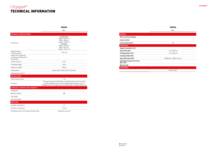## Cityspot® TECHNICAL INFORMATION





MOVEA

|                                                                   | 800L                                                                                                                                                                                                     |
|-------------------------------------------------------------------|----------------------------------------------------------------------------------------------------------------------------------------------------------------------------------------------------------|
| <b>TECHNICAL SPECIFICATIONS</b>                                   |                                                                                                                                                                                                          |
| <b>Dimensions</b>                                                 | Double hook<br>Depth: 1150 mm.<br>With: 750 mm.<br>Height: 1 855 mm<br>Kinshofer<br>Depth: 1150 mm,<br>With: 750 mm,<br>Height: 1841 mm                                                                  |
| Height of holes<br>from the ground                                | 1465 mm                                                                                                                                                                                                  |
| Height of the openings<br>for reduced mobility from<br>the ground |                                                                                                                                                                                                          |
| Useful volumes                                                    | 710l                                                                                                                                                                                                     |
| Unloaded weigth                                                   | 76 kg                                                                                                                                                                                                    |
| Maximum weigth                                                    | 290 kg                                                                                                                                                                                                   |
| Lifting device                                                    | Single Hook, Double Hook, Kinshofer                                                                                                                                                                      |
| Flap Opening Volume                                               |                                                                                                                                                                                                          |
| <b>INSTALLATION</b>                                               |                                                                                                                                                                                                          |
| Space requirements                                                | 1 m <sup>2</sup>                                                                                                                                                                                         |
| Transport                                                         | 30 single hook and 34 Kinshofer or double hook in truck mounted<br>version / 84 Movea units can be delivered dismantled in truck /<br>SEAVAN 40 HC: 60 single hook and 68 Kinshofer or double hook units |
| HANDLING, COMFORT AND FLEXIBILITY                                 |                                                                                                                                                                                                          |
| Compactor                                                         | $\overline{a}$                                                                                                                                                                                           |
| Reduce mobility                                                   | п                                                                                                                                                                                                        |
| Foot pedal                                                        |                                                                                                                                                                                                          |
| Sound-proofing                                                    |                                                                                                                                                                                                          |
| <b>EMPTYING</b>                                                   |                                                                                                                                                                                                          |
| Number of operators                                               | ٠                                                                                                                                                                                                        |
| Duration of emptying                                              | $1-2$ min                                                                                                                                                                                                |
| Emptying system according prehension grip                         | Single flap, vertical                                                                                                                                                                                    |



| <b>SERVICE</b>                                          |                           |
|---------------------------------------------------------|---------------------------|
| Pay as you throw billing                                |                           |
| <b>Access control</b>                                   |                           |
| Level measurement                                       |                           |
| <b>FRACTIONS</b>                                        |                           |
| <b>Regular waste RAL 7011</b>                           |                           |
| Paper RAL 5015                                          | $115 \times 35$           |
| Packaging RAL 1018                                      | $115 \times 35$           |
| <b>Cardboard RAL 5023</b>                               |                           |
| Glass RAL 6010-6018                                     | EPDM flap - $\varnothing$ |
| <b>Extended sorting instructions</b><br><b>RAL 1018</b> |                           |
| <b>Big user flap</b>                                    |                           |
| <b>STANDARDS</b>                                        |                           |
|                                                         | $ - -$                    |